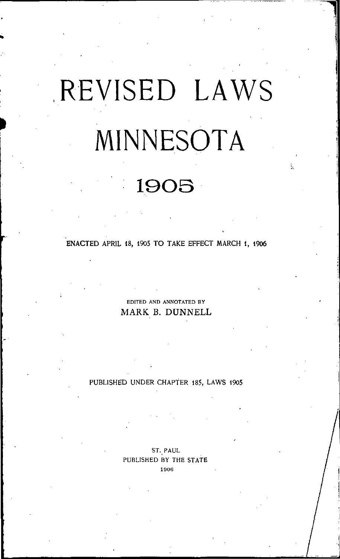# REVISED LAWS MINNESOTA

## 19OS

ENACTED APRIL 18, 1905 TO TAKE EFFECT MARCH 1, 1906

EDITED AND ANNOTATED BY MARK B. DUNNELL

PUBLISHED UNDER CHAPTER 185, LAWS 1905

ST. PAUL PUBLISHED BY THE STATE 1906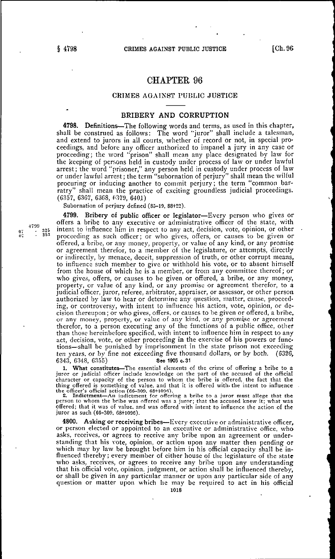### CHAPTER 96

#### CRIMES AGAINST PUBLIC JUSTICE

#### BRIBERY AND CORRUPTION

4798. Definitions—The following words and terms, as used in this chapter, shall be construed as follows: The word "juror" shall include a talesman, and extend to jurors in all courts, whether of record or not, in special proceedings, and before any officer authorized to impanel a jury in any case or proceeding; the word "prison" shall mean any place designated by law for the keeping of persons held in custody under process of law or under lawful arrest; the word "prisoner," any person held in custody under process of law or under lawful arrest; the term "subornation of perjury" shall mean the wilful procuring or inducing another to commit perjury; the term "common barratry" shall mean the practice of exciting groundless judicial proceedings. (6357, 6367, 6368, (=379, 6401)

Subornation of perjury defined (85-19, 88+22).

4799. Bribery of public officer or legislator—Every person who gives or offers a bribe to any executive or administrative officer of the state, with <sup>4799</sup> 325 intent to influence him in respect to any act, decision, vote, opinion, or other proceeding as such officer; or who gives, offers, or causes to be given or offered, a bribe, or any money, property, or value of any kind, or any promise or agreement therefor, to a member of the legislature, or attempts, directly or indirectly, by menace, deceit, suppression of truth, or other corrupt means, to influence such member to give or withhold his vote, or to absent himself from the house of which he is a member, or from any committee thereof; or who gives, offers, or causes to be given or offered, a bribe, or any money, property, or value of any kind, or any promise or agreement therefor, to a judicial officer, juror, referee, arbitrator, appraiser, or assessor, or other person authorized by law to hear or determine any question, matter, cause, proceeding, or controversy, with intent to influence his action, vote, opinion, or decision thereupon; or who gives, offers, or causes to be given or offered, a bribe, or any money, property, or value of any kind, or any promise or agreement therefor, to a person executing any of the functions of a public office, other than those hereinbefore specified, with intent to influence him in respect to any act, decision, vote, or other proceeding in the exercise of his powers or functions—shall be punished by imprisonment in the state prison not exceeding ten years, or by fine not exceeding five thousand dollars, or by both.  $(6326, 6343, 6348, 6355)$  See 1905 c. 31 6343, 6348, G355) See 1905 c.31

1. What constitutes—The essential elements of the crime of offering a bribe to a juror or judicial officer include knowledge on the part of the accused of the official character or capacity of the person to whom the bribe is offered, the fact that the thing offered is something of value, and that it is offered with the intent to influence<br>the officer's official action (66–309, 68+1096).<br>2. Indictment—An indictment for offering a bribe to a juror must allege that the

person to whom the bribe was offered was a juror; that the accused knew it; what was offered; that it was of value, and was offered with intent to influence the action of the juror as such (66-300, 68+1096).

4800. Asking or receiving bribes—Every executive or administrative officer, or person elected or appointed to an executive or administrative office, who asks, receives, or agrees to receive any bribe upon an agreement or understanding that his vote, opinion, or action upon any matter then pending or which may by law be brought before him in his official capacity shall be influenced thereby; every member of either house of the legislature of the state who asks, receives, or agrees to receive any bribe upon any understanding that his official vote, opinion, judgment, or action shall be influenced thereby, or shall be given in any particular manner or upon any particular side of any question or matter upon which he may be required to act in his official

 $\frac{325}{353}$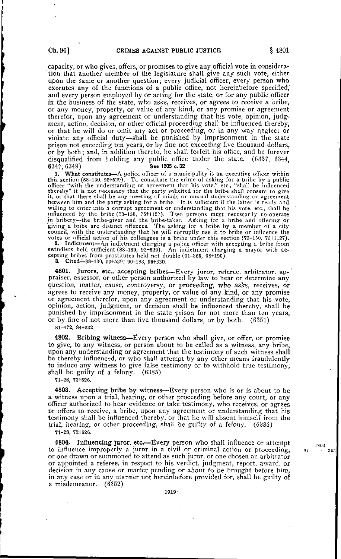capacity, or who gives, offers, or promises to give any official vote in consideration that another member of the legislature shall give any such vote, either upon the same or another question; every judicial officer, every person who executes any of the functions of a public office, not hereinbefore specified,' and every person employed by or acting for the state, or for any public officer in the business of the state, who asks, receives, or agrees to receive a bribe, or any money, property, or value of any kind, or any promise or agreement therefor, upon any agreement or understanding that his vote, opinion, judgment, action, decision, or other official proceeding shall be influenced thereby, or that he will do or omit any act or proceeding, or in any way neglect or violate any official duty—shall be punished by imprisonment in the state prison not exceeding ten years, or by fine not exceeding five thousand dollars, or by both; and, in addition thereto, he shall forfeit his office, and be forever disqualified from holding any public office under the state. (6327, 6344, 6347, 6349)  $6347,6349$  See 1905 c.32

1. What constitutes—A police officer of a municipality is an executive officer within this section (88-130, 92+529). To constitute the crime of asking for a bribe by a public officer "with the understanding or agreement that his vote," etc., "shall be influenced thereby" it is not necessary that the party solicited for the bribe shall consent to give it, or that there shall be any meeting of minds or mutual understanding or agreement between him and the party asking for a bribe. It is sufficient if the latter is ready and willing to enter into a corrupt agreement or understanding that his vote, etc., shall be ' influenced by the bribe (73-150, 75+1127). Two persons must necessarily co-operate in bribery—the bribe-giver and the bribe-taker. Asking for a bribe and offering or giving a bribe are distinct offences. The asking for a bribe by a member of a city council, with the understanding that he will corruptly use it to bribe or influence the votes or official action of his colleagues is a bribe under this section (73-150, 75+1127).

2. Indictment—An indictment charging a police officer with accepting a bribe from swindlers held sufficient (88-130, 92+529). An indictment charging a mayor with accepting bribes from prostitutes held not double (91-365, 98+190). 3. Cited—88-130, 93+529; 90-183, 96+330.

4801. Jurors, etc., accepting bribes—Every juror, referee, arbitrator, ap- ' praiser, assessor, or other person authorized by law to hear or determine any question, matter, cause, controversy, or proceeding, who asks, receives, or agrees to receive any money, property, or value of any kind, or any promise or agreement therefor, upon any agreement or understanding that his vote, opinion, action, judgment, or decision shall be influenced thereby, shall be punished by imprisonment in the state prison for not more than ten years, or by fine of not more than five thousand dollars, or by both. (6351)

81-472, 84+332.

4802. Bribing witness—Every person who shall give, or offer, or promise to give, to any witness, or person about to be called as a witness, any bribe, upon any understanding or agreement that the testimony of such witness shall be thereby influenced, or who shall attempt by any other means fraudulently to induce any witness to give false testimony or to withhold true testimony, shall be guilty of a felony. (6385)

71-28, 73+626.

4803. Accepting bribe by witness—Every person who is or is about to be a witness upon a trial, hearing, or other proceeding before any court, or any officer authorized to hear evidence or take testimony, who receives, or agrees Dr offers to receive, a bribe, upon any agreement or understanding that his testimony shall be influenced thereby, or that he will absent himself from the trial, hearing, or other proceeding, shall be guilty of a felony. (6386) 71-28, 73+626.

4804- Influencing juror, etc.—Every person who shall influence or attempt  $4804$ to influence improperly a juror in a civil or criminal action or proceeding, 07 or one drawn or summoned to attend as such juror, or one chosen an arbitrator or appointed a referee, in respect to his verdict, judgment, report, award, or decision in any cause or matter pending or about to be brought before him, in any case or in any manner not hereinbefore provided for, shall be guilty of a misdemeanor. (6353)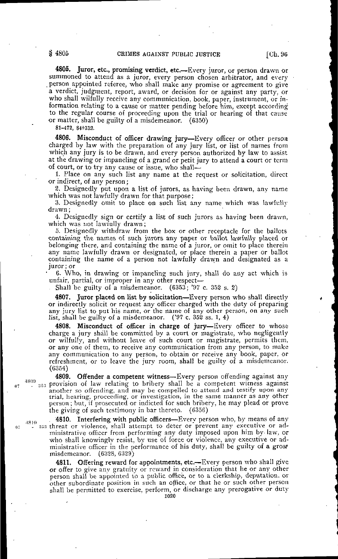4805. Juror, etc., promising verdict, etc.—Every juror, or person drawn or summoned to attend as a juror, every person chosen arbitrator, and every .person appointed referee, who shall make any promise or agreement to give a verdict, judgment, report, award, or decision for or against any party, or who shall wilfully receive any communication, book, paper, instrument, or information relating to a cause or matter pending before him, except according to the regular course of proceeding upon the trial or hearing of that cause or matter, shall be guilty of a misdemeanor. (6350)

81-472, 84+332.

4806. Misconduct of officer drawing jury—Every officer or other person charged by law with the preparation of any jury list, or list of names from which any jury is to be drawn, and every person authorized by law to assist at the drawing or impaneling of a grand or petit jury to attend a court or term of court, or to try any cause or issue, who shall—

1. Place on any such list any name at the request or solicitation, direct or indirect, of any person;

3. Designedly put upon a list of jurors, as having been drawn, any name which was not lawfully drawn for that purpose;

3. Designedly omit to place on such list any name which was lawfully drawn;

4. Designedly sign or certify a list of such jurors as having been drawn, which was not lawfully drawn;

5. Designedly withdraw from the box or other receptacle for the ballots containing the names of such jurors any paper or ballot lawfully placed or belonging there, and containing the name of a juror, or omit to place therein any name lawfully drawn or designated, or place therein a paper or ballot containing the name of a person not lawfully drawn and designated as a juror; or

6. Who, in drawing or impaneling such jury, shall do any act which is unfair, partial, or improper in any other respect-

. Shall be guilty of a misdemeanor. (6353; '9? c. 352 s. 3)

4807. Juror placed on list by solicitation—Every person who shall directly or indirectly solicit or request any officer charged with the duty of preparing any jury list to put his name, or the name of any other person, on any such list, shall be guilty of a misdemeanor. ('97 c. 352 ss. 1, 4)

4808. Misconduct of officer in charge of jury—Every officer to whose charge a jury shall be committed by a court or magistrate, who negligently or wilfully, and without leave of such court or magistrate, permits them, or any one of them, to receive any communication from any person, to make any communication to any person, to obtain or receive any book, paper, or refreshment, or to leave the jury room, shall be guilty of a misdemeanor. (6354)

4809. Offender a competent witness—Every person offending against any  $s_{53}$  provision of law relating to bribery shall be a competent witness against another so offending, and may be compelled to attend and testify upon any trial, hearing, proceeding, or investigation, in the same manner as any other person; but, if prosecuted or indicted for such bribery, he may plead or prove the giving of such testimony in bar thereto. (6356)

 $_{4810}$  . **4810.** Interfering with public officers—Every person who, by means of any IK ' - ::n3 threat or violence, shall attempt to deter or prevent any executive or administrative officer from performing any duty imposed upon him by-law, or who shall knowingly resist, by use of force or violence, any executive or administrative officer in the performance of his duty, shall be guilty of a grose misdemeanor. (6328, 6329)

> 4811. Offering reward for appointments, etc.—Every person who shall give or offer to give any gratuity or reward in consideration that he or any other person shall be appointed to a public office, or to a clerkship, deputation. or other subordinate position in such an office, or that he or such other person shall be permitted to exercise, perform, or discharge any prerogative or duty

1020

4809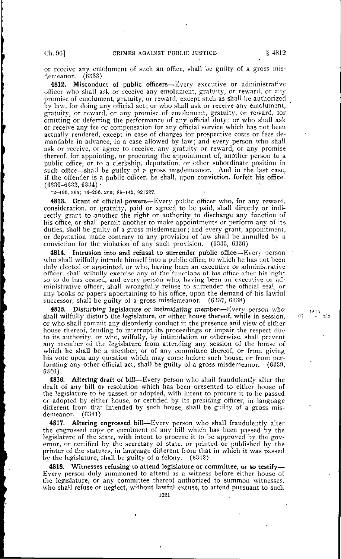or receive any emolument of such an office, shall be guilty of a gross misdemeanor.

4812. Misconduct of public officers—Every executive or administrative officer who shall ask or receive any emolument, gratuity, or reward, or any promise of emolument, gratuity, or reward, except such as shall be authorized by law, for doing any official act; or who shall ask or receive any emolument, gratuity, or reward, or any promise of emolument, gratuity, or reward, for omitting or deferring the performance of any official duty; or who shall ask or receive any fee or compensation for any official service which has not been actually rendered, except in case of charges for prospective costs or fees demandable in advance, in a case allowed by law; and every person who shall ask or receive, or agree to receive, any gratuity or reward, or any promise thereof, for appointing, or procuring the appointment of, another person to a. public office, or to a clerkship, deputation, or other subordinate position in such office—shall be guilty of a gross misdemeanor. And in the last case, if .the offender is a public officer, he shall, upon conviction, forfeit his office.' (6330-6332, 6334) •

12-400, 393; 10-296, 360; 88-145, 924-527.

4813. Grant of official powers—Every public officer who, for any reward, consideration, or gratuity, paid or agreed to be paid, shall directly or indirectly grant to another the right or authority to discharge any function of his office, or shall permit another to make appointments or perform any of its duties, shall be guilty of a gross misdemeanor; and every grant, appointment, or deputation made contrary to any.provision of law shall be annulled by a conviction for the violation of any such provision. (6335, 6336)

4814. Intrusion into and refusal to surrender public office—Every person who shall wilfully intrude himself into a public office, to which he has not been duly elected or appointed, or who, having been an executive or administrative officer, shall wilfully exercise any of the functions of his office after his right so to do has ceased, and every person who, having been an executive or administrative officer, shall wrongfully refuse to surrender the official seal, or any books or papers appertaining to his office, upon the demand of his lawful successor, shall be guilty of a gross misdemeanor.

Disturbing legislature or intimidating member-Every person who shall wilfully disturb the legislature, or either house thereof, while in session, or who- shall commit any disorderly conduct in the presence and view of either house thereof, tending to interrupt its proceedings or impair the respect due to its authority, or who, wilfully, by intimidation or otherwise, shall prevent any member of the legislature from attending any session of the house of which he shall be a member, or of any committee thereof, or from givinghis vote upon any question which may come before such house, or from performing anv other official act, shall be guilty of a gross misdemeanor. (6339, 6340)

4816. Altering draft of bill—Every person who shall fraudulently alter the draft of any bill or resolution which has been presented to either house of the legislature to be passed or adopted, with intent to procure it to be passed or adopted by either house, or certified by its presiding officer, in language different from that intended by such house, shall be guilty of a gross mis-<br>demeanor. (6341) demeanor.

4817. Altering engrossed bill—Every person who shall fraudulently alter the engrossed copy or enrolment of any bill which has been passed by the legislature of the state, with intent to procure it to be approved by the governor, or certified by the secretary of state, or printed or published by the printer of the statutes, in language different from that in which it was passed by the legislature, shall be guilty of a felony. (6342)

4818. Witnesses refusing to attend legislature or committee, or to testify— Every person duly summoned to attend as a witness before either house of the legislature, or any committee thereof authorized to summon witnesses, who shall refuse or neglect, without lawful excuse, to attend pursuant to such

 $0.7$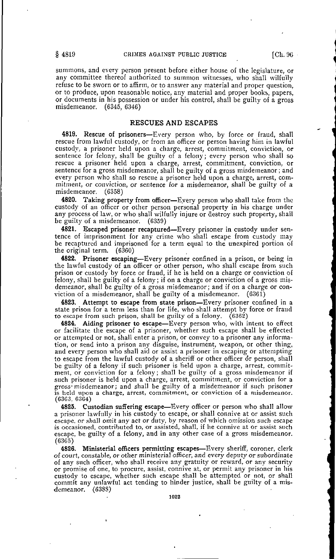summons, and every person present before either house of the legislature, or any committee thereof authorized to summon witnesses, who shall wilfully refuse to be sworn or to affirm, or to answer any material and proper question, or to produce, upon reasonable notice, any material and proper books, papers, or documents in his possession or under his control, shall be guilty of a gross misdemeanor. (6345, 6346)

#### RESCUES AND ESCAPES

4819. Rescue of prisoners—Every person who, by force or fraud, shall rescue from lawful custody, or from an officer or person having him in lawful custody, a prisoner held upon a charge, arrest, commitment, conviction, or sentence for felony, shall be guilty of a felony; every person who shall so rescue a prisoner held upon a charge, arrest, commitment, conviction, or sentence for a gross misdemeanor, shall be guilty of a gross misdemeanor; and every person who shall so rescue a prisoner held upon a charge, arrest, commitment, or conviction, or sentence for a misdemeanor, shall be guilty of a misdemeanor. (6358) misdemeanor.

4820. Taking property from officer—Eyery person who shall take from the custody of an officer or other person personal property in his charge under any process of law, or who shall wilfully injure or destroy such property, shall be guilty of a misdemeanor. (6359)

4821. Escaped prisoner recaptured—Every prisoner in custody under sentence of imprisonment for any crime who shall escape from custody may be recaptured and imprisoned for a term equal to the unexpired portion of the original term. (6360)

4822. Prisoner escaping—Every prisoner confined in a prison, or being in the lawful custody of an officer or other person, who shall escape from such prison or custody by force or fraud, if he is held on a charge or conviction of felony, shall be guilty of a felony; if on a charge or conviction of a gross misdemeanor, shall be guilty of a gross misdemeanor; and if on a charge or conviction of a misdemeanor, shall be guilty of a misdemeanor. (6361)

4823. Attempt to escape from state prison—Every prisoner confined in a state prison for a term less than for life, who shall attempt by force or fraud to escape from such prison, shall be guilty of a felony. (6362)

4824. Aiding prisoner to escape-Every person who, with intent to effect or facilitate the escape of a prisoner, whether such escape shall be effected or attempted or not, shall enter a prison, or convey to a prisoner any information, or send into a prison any disguise, instrument, weapon, or other thing, and every person who shall aid or assist a prisoner in escaping or attempting to escape from the lawful custody of a sheriff or other officer or person, shall be guilty of a felony if such prisoner is held upon a charge, arrest, commitment, or conviction for a felony; shall be guilty of a gross misdemeanor if such prisoner is held upon a charge, arrest, commitment, or conviction for a gross\* misdemeanor; and shall be guilty of a misdemeanor if such prisoner is held upon a charge, arrest, commitment, or conviction of a misdemeanor.  $(6363, 6364)$ 

4825. Custodian suffering escape—Every officer or person who shall allow a prisoner lawfully in his custody to escape, or shall connive at or assist such escape, or shall omit any act or duty, by reason of which omission such escape is occasioned, contributed to, or assisted, shall, if he connive at or assist such escape, be guilty of a felony, and in any other case of a gross misdemeanor. (6365)

4826. Ministerial officers permitting escapes—Every sheriff, coroner, clerk of court, constable, or other ministerial officer, and every deputy or subordinate of any such officer, who shall receive any gratuity or reward, or any security or promise of one, to procure, assist, connive at, or permit any prisoner in his custody to escape, whether such escape shall be attempted or not, or shall commit any unlawful act tending to hinder justice, shall be guilty of a misdemeanor. (6388)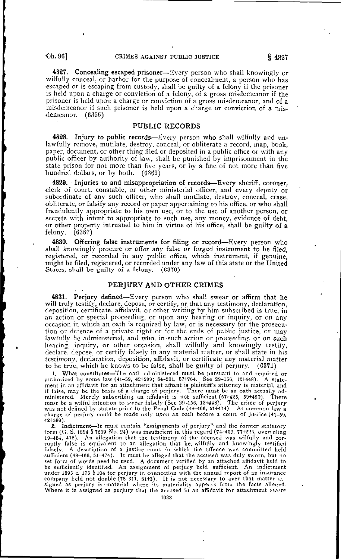4827. Concealing escaped prisoner—Every person who shall knowingly or wilfully conceal, or harbor for the purpose of concealment, a person who has •escaped or is escaping from custody, shall be guilty of a felony if the prisoner is held upon a charge or conviction of a felony, of a gross misdemeanor if the prisoner is held upon a charge or conviction of a gross misdemeanor, and of a misdemeanor if such prisoner is held upon a charge or conviction of a misdemeanor. (6366)

#### PUBLIC RECORDS

**4828.** Injury to public records—Every person who shall wilfully and unlawfully remove, mutilate, destroy, conceal, or obliterate a record, map, book, paper, document, or other thing filed or deposited in a public office or with any public officer by authority of law, shall be punished by imprisonment in the state prison for not more than five years, or by a fine of not more than five hundred dollars, or by both. (6369)

4829. Injuries to and misappropriation of records—Every sheriff, coroner, •clerk of court, constable, or other ministerial officer, and every deputy or subordinate of any such officer, who shall mutilate, destroy, conceal, erase, •obliterate, or falsify any record or paper appertaining to his office, or who shall fraudulently appropriate to his own use, or to the use of another person, or secrete with intent to appropriate to such use, any money, evidence of debt, or other property intrusted to him in virtue of his office, shall be guilty of a felony. (6387) felony.

4830. Offering false instruments for filing or record—Every person who shall knowingly procure or offer any false or forged instrument to be filed, registered, or recorded in any public office, which instrument, if genuine, might be filed, registered, or recorded under any law of this state or the United States, shall be guilty of a felony. (6370) States, shall be guilty of a felony.

#### PERJURY AND OTHER CRIMES

4831. Perjury defined—Every person who shall swear or affirm that he will truly testify, declare, depose, or certify, or that any testimony, declaration, deposition, certificate, affidavit, or other writing by him subscribed is true, in an action or special proceeding, or upon any hearing or inquiry, or on any occasion in which an oath is required by law, or is necessary for the prosecution or defence of a private right or for the ends of public justice, or may lawfully be administered, and who, in such action or proceeding, or on such hearing, inquiry, or other occasion, shall wilfully and knowingly testify, declare, depose, or certify falsely in any material matter, or shall state in his testimony, declaration, deposition, affidavit, or certificate any material matter to be true, which he knows to be false, shall be guilty of perjury. (6371) to be true, which he knows to be false, shall be guilty of perjury.

1. What constitutes—The oath administered must be pursuant to and required or authorized by some law (41-59, 42+599; 84-281, 87+764. See 29-156, 12+448). A statement in an affidavit for an attachment that affiant is plaintiff's attorney is material, and if false, may be the basis of a charge of perjury. There must be an oath actually administered. Merely subscribing, an affidavit is not sufficient (57-425, 59+490). There must be a wilful intention to swear falsely (See 29-156, 12+448). The crime of perjury was not defined by statute prior to the Penal Code (48-466, 51+474). At common law a charge of perjury could be made only upon an oath before a court of justice (41-59,

42+599).<br>2. Indictment—It must contain "assignments of perjury" and the former statutory form (G. S. 1894 § 7239 No. 24) was insufficient in this regard (74-409, 77+223, overruling 19-484, 418). An allegation that the testimony of the accused was wilfully and corruptly false is equivalent to an allegation that he, wilfully and knowingly testified falsely. A description of a justice court in which the offence was committed held ••sufficient (48-466, 51+474). It must be alleged that the accused was duly sworn, but no set form of words need be used. A document verified by an attached affidavit held to be sufficiently identified. An assignment of perjury held sufficient. An indictment under 1895 c. 175 § 104 for perjury in connection with the annual report of an insurance company held not double (78-311, 81+3). It is not necessary to aver that matter assigned as perjury is-material where its materiality appears from the facts alleged. Where it is assigned as perjury that the accused in an affidavit for attachment swore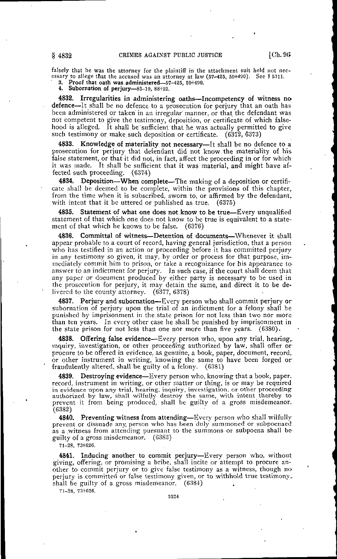falsely that he was the attorney for the plaintiff in the attachment suit held not necessary to allege tnat the accused was an attorney at law (57-425, 59+490). See § 5311. 3. Proof that oath was administered—57-425, 59+490.

4. Subornation of perjury—85-19, 88+22.

4832. Irregularities in administering oaths—Incompetency of witness nodefence—It shall be no defence to a prosecution for perjury that an oath has been administered or taken in an irregular manner, or that the defendant was not competent to give the testimony, deposition, or certificate of which falsehood is alleged. It shall be sufficient that he was actually permitted to give such testimony or make such deposition or certificate. (6372, 6373)

4833. Knowledge of materiality not necessary—It shall be no defence to a prosecution for perjury that defendant did not know the materiality of his false statement, or that it did not, in fact, affect the proceeding in or for which it was made. It shall be sufficient that it was material, and might have affected such proceeding. (6374)

4834. Deposition—When complete—The making of a deposition or certificate shall be deemed to be complete, within the provisions of this chapter, from the time when it is subscribed, sworn to, or affirmed by the defendant, with intent that it be uttered or published as true. (6375)

4835. Statement of what one does not know to be true—Every unqualified statement of that which one does not know to be true is equivalent to a statement of that which he knows to be false. (6376)

4836. Committal of witness—Detention of documents—Whenever it shall appear probable to a court of record, having general jurisdiction, that a person who has testified in an action or proceeding before it has committed perjury in any testimony so given, it may, by order or process for that purpose, immediately commit him to prison, or take a recognizance for his appearance to answer to an indictment for perjury. In such case, if the court shall deem that any paper or document produced by either party is necessary to be used in the prosecution for perjury, it may detain the same, and direct it to be de-<br>livered to the county attorney.  $(6377, 6378)$ livered to the county attorney.

4837. Perjury and subornation—Every person who shall commit perjury or subornation of perjury upon the trial of an indictment for a felony shall be punished by imprisonment in the state prison for not less than two nor more than ten years. In every other case he shall be punished by imprisonment in the state prison for not less than one nor more than five years. (6380).

4838. Offering false evidence—Every person who, upon any trial, hearing,, inquiry, investigation, or other proceeding authorized by law, shall offer or procure to be offered in evidence, as genuine, a book, paper, document, record, or other instrument in writing, knowing the same to have been forged or fraudulently altered, shall be guilty of a felony. (6381)

4839. Destroying evidence—Every person who, knowing that a book, paper, record, instrument in writing, or other matter or thing, is or may be required in evidence upon any trial, hearing, inquiry, investigation, or other proceeding authorized by law, shall wilfully destroy the same, with intent thereby to prevent it from being produced, shall be guilty of a gross misdemeanor. (6382)

4840. Preventing witness from attending—Every person who shall wilfully prevent or dissuade any. person who has been duly summoned or subpoenaed as a witness from attending pursuant to the summons or subpoena shall be guilty of a gross misdemeanor. (G3S3)

71-28, 73+626.

4841. Inducing another to commit perjury—Every person who, without giving, offering, or promising a bribe, shall incite or attempt to procure another to commit perjury or to give false testimony as a witness, though noperjury is committed or false testimony given, or to withhold true testimony,, shall be guilty of a gross misdemeanor. (6384)

71-28, 73+626.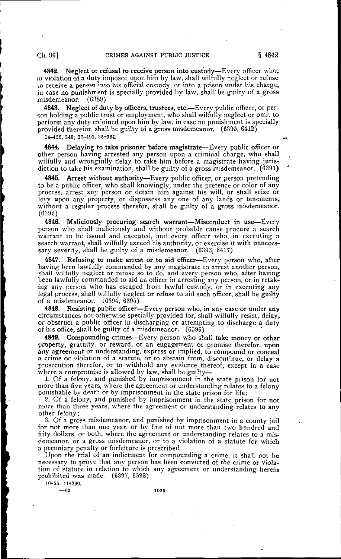4842. Neglect or refusal to receive person into custody—Every officer who, in violation of a duty imposed upon him by law, shall wilfully neglect or refuse to receive a person into his official custody, or into a prison under his charge, in case no punishment is specially provided by law, shall'be guilty of a gross misdemeanor. (6389)

4843. Neglect of duty by officers, trustees, etc.—Every public officer, or person holding a public trust or employment, who shall wilfully neglect or omit to perform any duty enjoined upon him by law, in case no punishment is specially provided therefor, shall be guilty of a gross misdemeanor. (6390, 6412)

14-456, 340; 37-491, 35+364.

4844. Delaying to take prisoner before magistrate—Every public officer or other person having arrested any person upon a criminal charge, who shall wilfully and wrongfully delay to take him before a magistrate having jurisdiction to take his examination, shall be guilty of a gross misdemeanor. (6391)

Arrest without authority-Every public officer, or person pretending to be a public officer, who shall knowingly, under the pretence or color of any process, arrest any person or detain him against his will, or shall seize or levy upon any property, or dispossess any one of any lands or tenements, without a regular process therefor, shall be guilty of a gross misdemeanor. (6392)

4846. Maliciously procuring search warrant—Misconduct in use—Every person who shall maliciously and without probable cause procure a search warrant to be issued and executed, and every officer who, in executing a search warrant, shall wilfully exceed his authority, or exercise it with unnecessary severity, shall be guilty of a misdemeanor. (6393, 6417)

4847. Refusing to make arrest or to aid officer—Every person who, after having been lawfully commanded by any magistrate to arrest another person, shall wilfully neglect or refuse so to do, and every.person who, after having been lawfully commanded to aid an officer in arresting any person, or in retaking any. person who has escaped from lawful custody, or in executing any legal process, shall wilfully neglect or refuse to aid such officer, shall be guilty of a misdemeanor. (6394, 6395)

4848. Resisting public officer—Every person who, in any case or under any circumstances not otherwise specially provided for, shall wilfully resist, delay, or obstruct a public officer in discharging or attempting to discharge a duty of his office, shall be guilty of a misdemeanor. (6396)

4849. Compounding crimes—Every person who shall take money or other property, gratuity, or reward, or an engagement or promise therefor, upon any agreement or understanding, express or implied, to compound or conceal a crime or violation of a statute, or to abstain from, discontinue, or delay a prosecution therefor, or to withhold any evidence thereof, except in a case where a compromise is allowed by law, shall be guilty-

1. Of a felony, and punished by imprisonment in the state prison for not more than five years, where the agreement or understanding relates to a felony punishable by death or by imprisonment in the state prison for life;

• 2. Of a felony, and punished by imprisonment in the state prison for not more than three years, where the agreement or understanding relates to any other felony;

3. Of a gross misdemeanor, and punished by imprisonment in a county jail for not more than one year, or by fine of not more than two hundred and fifty dollars, or both, where the agreement or understanding relates to a misdemeanor, or a gross misdemeanor, or to a violation of a statute for which a pecuniary penalty or forfeiture is prescribed.

Upon the trial of an indictment for compounding a crime, it shall not be necessary to prove that any person has been convicted of the crime or violation of statute in relation to which any agreement or understanding herein prohibited was made. (6397, 6398)

40-55, 41+299.

—65 1025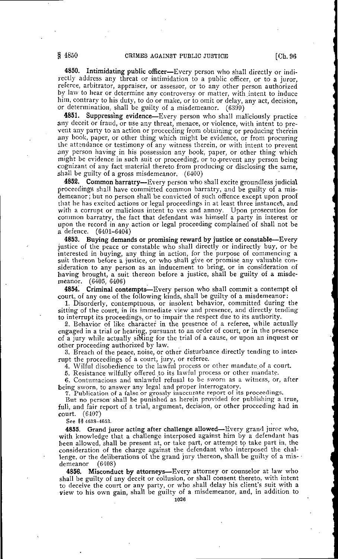4850. Intimidating public officer—Every person who shall directly or indirectly address any threat or intimidation to a public officer, or to a juror, referee, arbitrator, appraiser, or assessor, or to any other person authorized by law to hear or determine any controversy or matter, with intent to induce him, contrary to his duty, to do or make, or to omit or delay, any act, decision, or determination, shall be guilty of a misdemeanor. (6399)

4851. Suppressing evidence—Every person who shall maliciously practice any deceit or fraud, or use any threat, menace, or violence, with intent to prevent any party to an action or proceeding from obtaining or producing therein any book, paper, or other thing which might be evidence, or from procuring the attendance or testimony of any witness therein, or with intent to prevent any person having in his possession any book, paper, or other thing which might be evidence in such suit or proceeding, or to .prevent any person being cognizant of any fact material thereto from producing or disclosing the same, shall be guilty of a gross misdemeanor. (6400)

4852. Common barratry—Every person who shall excite groundless judicial proceedings shall have committed common barratry, and be guilty of a misdemeanor; but no person shall be convicted of such offence except upon proof that he has excited actions or legal proceedings in at least three instances, and with a corrupt or malicious intent to vex and annoy. Upon prosecution for common barratry, the fact that defendant was himself a party in interest or upon the record in any action or legal proceeding complained of shall not be a defence.  $(6401-6404)$  $(6401 - 6404)$ 

4853. Buying demands or promising reward by justice or constable—Every justice of the peace or constable who shall directly or indirectly buy, or be interested in buying, any thing in action, for the purpose of commencing a suit thereon before a justice, or who shall give or promise any valuable consideration to any person as an inducement to bring, or in consideration of having brought, a suit thereon before a justice, shall be guilty of a misdemeanor. (6405, 6406)

4854. Criminal contempts—Every person who shall commit a contempt oi court, of any one of the following kinds, shall be guilty of a misdemeanor:

1. Disorderly, contemptuous, or insolent behavior, committed during the sitting of the court, in its immediate view and presence, and directly tending to interrupt its proceedings, or to impair the respect due to its authority.

2. Behavior of like character in the presence of a referee, while actually engaged in a trial or hearing, pursuant to an order of court, or in the presence of a jury while actually sitting for the trial of a cause, or upon an inquest or other proceeding authorized by law.

3. Breach of the peace, noise, or other disturbance directly tending to interrupt the proceedings of a court, jury, or referee.

4. Wilful disobedience to the lawful process or other mandate, of a court.

5. Resistance wilfully offered to its lawful process or other mandate.

6. Contumacious and unlawful refusal to be sworn as a witness, or, after being sworn, to answer any legal and proper interrogatory.

7. Publication of a false or grossly inaccurate report of its proceedings.

But no person shall be punished as herein provided for publishing a true, full, and fair report of a trial, argument, decision, or other proceeding had in court. (6407)

See §§ 4633-4653.

4855. Grand juror acting after challenge allowed—Every grand juror who, with knowledge that a challenge interposed against him by a defendant has been allowed, shall be present at, or take part, or attempt to take part in, the consideration of the charge against the defendant who interposed the challenge, or the deliberations of the grand jury thereon, shall be guilty of a misdemeanor (6408)

4856. Misconduct by attorneys—Every attorney or counselor at law who shall be guilty of any deceit or collusion, or shall consent thereto, with intent to deceive the court or any party, or who shall delay his client's suit with a view to his own gain, shall be guilty of a misdemeanor, and, in addition to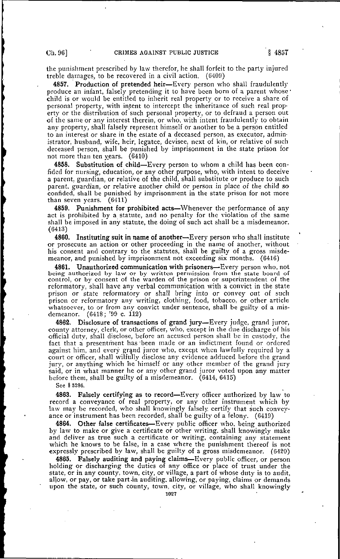the punishment prescribed by law therefor, he shall forfeit to the party injured treble damages, to be recovered in a civil action. (6409)

4857. Production of pretended heir—Every person who shall fraudulently produce an infant, falsely pretending it to have been born of a parent whose • child is or would be entitled to inherit real property or to receive a share of personal property, with intent to intercept the inheritance of such real property or the distribution of such personal property, or to defraud a person out of the same or any interest therein, or who, with intent fraudulently to obtain any property, shall falsely represent himself or another to be a person entitled to an interest or share in the estate of a deceased person, as executor, administrator, husband, wife, heir, legatee, devisee, next of kin, or relative of such deceased person, shall be punished by imprisonment in the state prison for not more than ten years. (6410)

4858. Substitution of child—Every person to whom a child has been confided for nursing, education, or any other purpose, who, with intent to deceive a parent, guardian, or relative of the child, shall substitute or produce to such parent, guardian, or relative another child or person in place of the child so confided, shall be punished by imprisonment in the state prison for not more than seven years. (6411)

4859. Punishment for prohibited acts—Whenever the performance of any act is prohibited by a statute, and no penalty for the violation of the same shall be imposed in any statute, the doing of such act shall be a misdemeanor. (6413)

4860. Instituting suit in name of another—Every person who shall institute or prosecute an action or other proceeding in the name of another, without his consent and contrary to the statutes, shall be guilty of a gross misdemeanor, and punished by imprisonment not exceeding six months. (6416)

4861. Unauthorized communication with prisoners—Every person who. not being authorized by law or by written permission from the state board of control, or by consent of the warden of the prison or superintendent of the reformatory, shall have any verbal communication with a convict in the state prison or state reformatory or shall bring into or convey out of such prison or reformatory any writing, clothing, food, tobacco, or other article whatsoever, to or from any convict under sentence, shall be guilty of a misdemeanor. (6418; '99 c. 112)

4862. Disclosure of transactions of grand jury—Every judge, grand juror, county attorney, clerk, or other officer, who, except in the due discharge of his official duty, shall disclose, before an accused person shall be in custody, the fact that a presentment has 'been made or an indictment found or ordered against him, and every grand juror who, except when lawfully required by a court or officer, shall wilfully disclose any evidence adduced before the grand jury, or anything which he himself or any other member of the grand jury said, or in what manner he or any other grand juror voted upon any matter before them, shall be guilty of a misdemeanor. (6414, 6415)

See § 5286.

4863. Falsely certifying as to record—Every officer authorized by law to record a conveyance of real property, or any other instrument which by law may be recorded, who shall knowingly falsely certify that such conveyance or instrument has been recorded, shall be guilty of a felony. (6419)

4864. Other false certificates—Every public officer who, being authorized by law to make or give a certificate or other writing, shall knowingly make and deliver as true such a certificate or writing, containing any statement which he knows to be false, in a case where the punishment thereof is not expressly prescribed by law, shall be guilty of a gross misdemeanor. (6420)

4865. Falsely auditing and paying claims-Every public officer, or person holding or discharging the duties of any office or place of trust under the state, or in any county, town, city, or village, a part of whose duty is to audit, allow, or pay, or take part-in auditing, allowing, or paying, claims or demands upon the state, or such county, town, city, or village, who shall knowingly